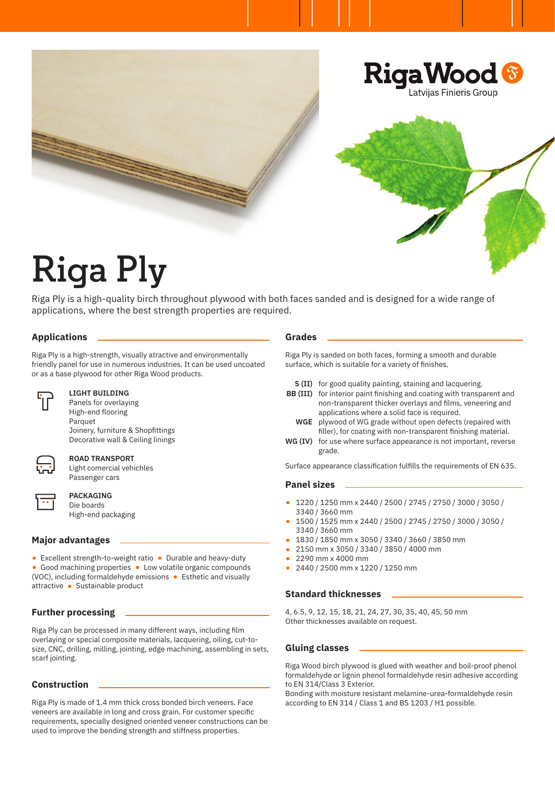

# **Riga Ply**

Riga Ply is a high-quality birch throughout plywood with both faces sanded and is designed for a wide range of applications, where the best strength properties are required.

# **Applications**

Riga Ply is a high-strength, visually atractive and environmentally friendly panel for use in numerous industries. It can be used uncoated or as a base plywood for other Riga Wood products.



### **LIGHT BUILDING**

Panels for overlaying High-end flooring Parquet Joinery, furniture & Shopfittings Decorative wall & Ceiling linings



### **ROAD TRANSPORT**

Light comercial vehichles Passenger cars

## **PACKAGING**  Die boards

High-end packaging

# **Major advantages**

- Excellent strength-to-weight ratio Durable and heavy-duty
- Good machining properties Low volatile organic compounds (VOC), including formaldehyde emissions • Esthetic and visually attractive • Sustainable product

# **Further processing**

Riga Ply can be processed in many different ways, including film overlaying or special composite materials, lacquering, oiling, cut-tosize, CNC, drilling, milling, jointing, edge machining, assembling in sets, scarf jointing.

# **Construction**

Riga Ply is made of 1.4 mm thick cross bonded birch veneers. Face veneers are available in long and cross grain. For customer specific requirements, specially designed oriented veneer constructions can be used to improve the bending strength and stiffness properties.

#### **Grades**

Riga Ply is sanded on both faces, forming a smooth and durable surface, which is suitable for a variety of finishes.

- **S (II)** for good quality painting, staining and lacquering.
- **BB (III)** for interior paint finishing and coating with transparent and non-transparent thicker overlays and films, veneering and applications where a solid face is required.
	- **WGE** plywood of WG grade without open defects (repaired with filler), for coating with non-transparent finishing material.
- **WG (IV)** for use where surface appearance is not important, reverse grade.

Surface appearance classification fulfills the requirements of EN 635.

## **Panel sizes**

- 1220 / 1250 mm x 2440 / 2500 / 2745 / 2750 / 3000 / 3050 / 3340 / 3660 mm
- 1500 / 1525 mm x 2440 / 2500 / 2745 / 2750 / 3000 / 3050 / 3340 / 3660 mm
- 1830 / 1850 mm x 3050 / 3340 / 3660 / 3850 mm
- 2150 mm x 3050 / 3340 / 3850 / 4000 mm<br>• 2290 mm x 4000 mm
- 2290 mm x 4000 mm
- 2440 / 2500 mm x 1220 / 1250 mm

#### **Standard thicknesses**

4, 6.5, 9, 12, 15, 18, 21, 24, 27, 30, 35, 40, 45, 50 mm Other thicknesses available on request.

#### **Gluing classes**

Riga Wood birch plywood is glued with weather and boil-proof phenol formaldehyde or lignin phenol formaldehyde resin adhesive according to EN 314/Class 3 Exterior.

Bonding with moisture resistant melamine-urea-formaldehyde resin according to EN 314 / Class 1 and BS 1203 / H1 possible.